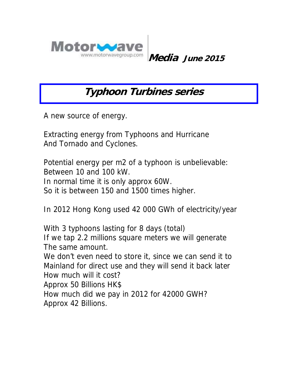

**Media June 2015**

### **Typhoon Turbines series**

A new source of energy.

Extracting energy from Typhoons and Hurricane And Tornado and Cyclones.

Potential energy per m2 of a typhoon is unbelievable: Between 10 and 100 kW. In normal time it is only approx 60W. So it is between 150 and 1500 times higher.

In 2012 Hong Kong used 42 000 GWh of electricity/year

With 3 typhoons lasting for 8 days (total) If we tap 2.2 millions square meters we will generate The same amount. We don't even need to store it, since we can send it to Mainland for direct use and they will send it back later How much will it cost? Approx 50 Billions HK\$ How much did we pay in 2012 for 42000 GWH? Approx 42 Billions.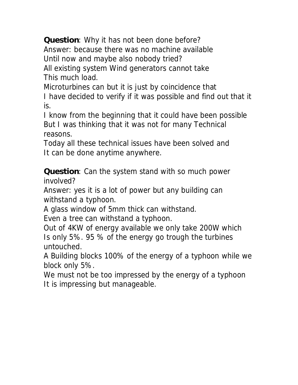**Question**: Why it has not been done before? Answer: because there was no machine available Until now and maybe also nobody tried? All existing system Wind generators cannot take This much load.

Microturbines can but it is just by coincidence that I have decided to verify if it was possible and find out that it is.

I know from the beginning that it could have been possible But I was thinking that it was not for many Technical reasons.

Today all these technical issues have been solved and It can be done anytime anywhere.

**Question**: Can the system stand with so much power involved?

Answer: yes it is a lot of power but any building can withstand a typhoon.

A glass window of 5mm thick can withstand.

Even a tree can withstand a typhoon.

Out of 4KW of energy available we only take 200W which Is only 5%. 95 % of the energy go trough the turbines untouched.

A Building blocks 100% of the energy of a typhoon while we block only 5%.

We must not be too impressed by the energy of a typhoon It is impressing but manageable.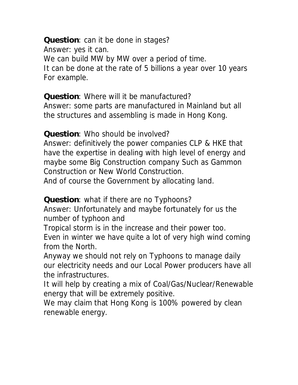**Question**: can it be done in stages? Answer: yes it can. We can build MW by MW over a period of time. It can be done at the rate of 5 billions a year over 10 years For example.

**Question**: Where will it be manufactured? Answer: some parts are manufactured in Mainland but all the structures and assembling is made in Hong Kong.

#### **Question**: Who should be involved?

Answer: definitively the power companies CLP & HKE that have the expertise in dealing with high level of energy and maybe some Big Construction company Such as Gammon Construction or New World Construction.

And of course the Government by allocating land.

**Question**: what if there are no Typhoons?

Answer: Unfortunately and maybe fortunately for us the number of typhoon and

Tropical storm is in the increase and their power too.

Even in winter we have quite a lot of very high wind coming from the North.

Anyway we should not rely on Typhoons to manage daily our electricity needs and our Local Power producers have all the infrastructures.

It will help by creating a mix of Coal/Gas/Nuclear/Renewable energy that will be extremely positive.

We may claim that Hong Kong is 100% powered by clean renewable energy.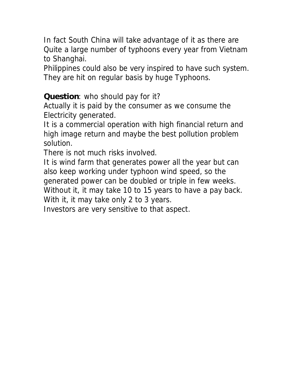In fact South China will take advantage of it as there are Quite a large number of typhoons every year from Vietnam to Shanghai.

Philippines could also be very inspired to have such system. They are hit on regular basis by huge Typhoons.

**Question**: who should pay for it?

Actually it is paid by the consumer as we consume the Electricity generated.

It is a commercial operation with high financial return and high image return and maybe the best pollution problem solution.

There is not much risks involved.

It is wind farm that generates power all the year but can also keep working under typhoon wind speed, so the generated power can be doubled or triple in few weeks. Without it, it may take 10 to 15 years to have a pay back. With it, it may take only 2 to 3 years.

Investors are very sensitive to that aspect.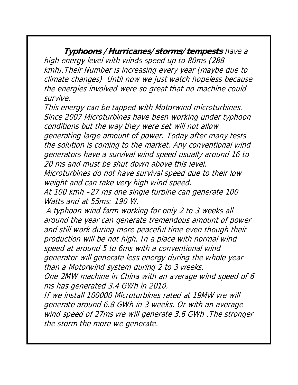**Typhoons /Hurricanes/storms/tempests** have a high energy level with winds speed up to 80ms (288 kmh).Their Number is increasing every year (maybe due to climate changes) Until now we just watch hopeless because the energies involved were so great that no machine could survive.

This energy can be tapped with Motorwind microturbines. Since 2007 Microturbines have been working under typhoon conditions but the way they were set will not allow generating large amount of power. Today after many tests the solution is coming to the market. Any conventional wind generators have a survival wind speed usually around 16 to 20 ms and must be shut down above this level.

Microturbines do not have survival speed due to their low weight and can take very high wind speed.

At 100 kmh –27 ms one single turbine can generate 100 Watts and at 55ms: 190 W.

 A typhoon wind farm working for only 2 to 3 weeks all around the year can generate tremendous amount of power and still work during more peaceful time even though their production will be not high. In a place with normal wind speed at around 5 to 6ms with a conventional wind generator will generate less energy during the whole year than a Motorwind system during 2 to 3 weeks.

One 2MW machine in China with an average wind speed of 6 ms has generated 3.4 GWh in 2010.

If we install 100000 Microturbines rated at 19MW we will generate around 6.8 GWh in 3 weeks. Or with an average wind speed of 27ms we will generate 3.6 GWh .The stronger the storm the more we generate.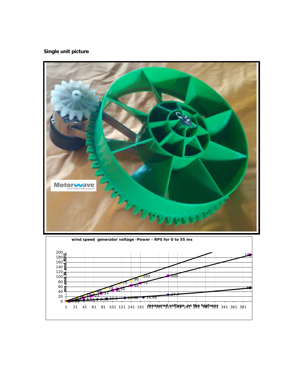#### **Single unit picture**



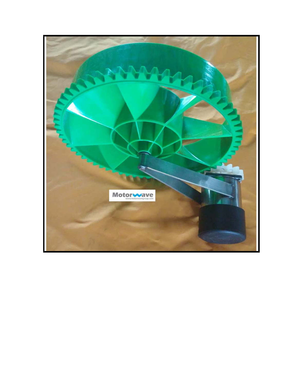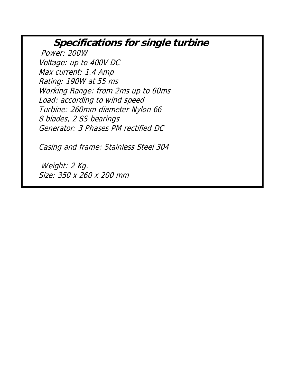### **Specifications for single turbine**

 Power: 200W Voltage: up to 400V DC Max current: 1.4 Amp Rating: 190W at 55 ms Working Range: from 2ms up to 60ms Load: according to wind speed Turbine: 260mm diameter Nylon 66 8 blades, 2 SS bearings Generator: 3 Phases PM rectified DC

Casing and frame: Stainless Steel 304

Weight: 2 Kg. Size: 350 x 260 x 200 mm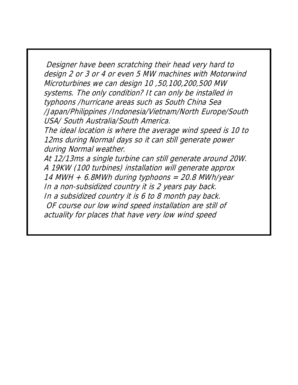Designer have been scratching their head very hard to design 2 or 3 or 4 or even 5 MW machines with Motorwind Microturbines we can design 10 ,50,100,200,500 MW systems. The only condition? It can only be installed in typhoons /hurricane areas such as South China Sea /Japan/Philippines /Indonesia/Vietnam/North Europe/South USA/ South Australia/South America. The ideal location is where the average wind speed is 10 to 12ms during Normal days so it can still generate power during Normal weather.

At 12/13ms a single turbine can still generate around 20W. A 19KW (100 turbines) installation will generate approx 14 MWH  $+ 6.8$ MWh during typhoons = 20.8 MWh/year In a non-subsidized country it is 2 years pay back. In a subsidized country it is 6 to 8 month pay back. OF course our low wind speed installation are still of actuality for places that have very low wind speed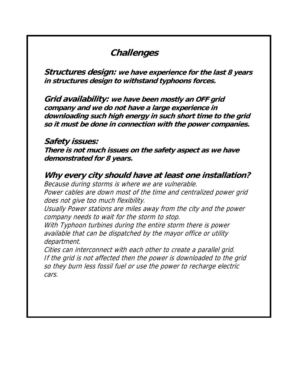### **Challenges**

**Structures design: we have experience for the last 8 years in structures design to withstand typhoons forces.** 

**Grid availability: we have been mostly an OFF grid company and we do not have a large experience in downloading such high energy in such short time to the grid so it must be done in connection with the power companies.** 

#### **Safety issues:**

**There is not much issues on the safety aspect as we have demonstrated for 8 years.** 

#### **Why every city should have at least one installation?**

Because during storms is where we are vulnerable. Power cables are down most of the time and centralized power grid does not give too much flexibility.

Usually Power stations are miles away from the city and the power company needs to wait for the storm to stop.

With Typhoon turbines during the entire storm there is power available that can be dispatched by the mayor office or utility department.

Cities can interconnect with each other to create a parallel grid. If the grid is not affected then the power is downloaded to the grid so they burn less fossil fuel or use the power to recharge electric cars.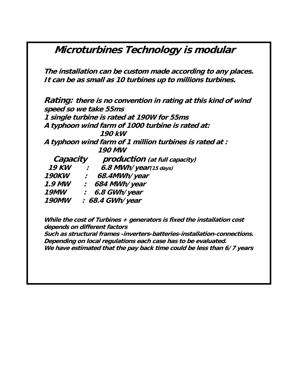## **Microturbines Technology is modular**

**The installation can be custom made according to any places. It can be as small as 10 turbines up to millions turbines.** 

**Rating: there is no convention in rating at this kind of wind speed so we take 55ms 1 single turbine is rated at 190W for 55ms A typhoon wind farm of 1000 turbine is rated at: 190 kW A typhoon wind farm of 1 million turbines is rated at : 190 MW Capacity production (at full capacity) 19 KW : 6.8 MWh/year(15 days) 190KW : 68.4MWh/year 1.9 MW : 684 MWh/year 19MW : 6.8 GWh/year 190MW : 68.4 GWh/year** 

**While the cost of Turbines + generators is fixed the installation cost depends on different factors Such as structural frames -inverters-batteries-installation-connections. Depending on local regulations each case has to be evaluated. We have estimated that the pay back time could be less than 6/7 years**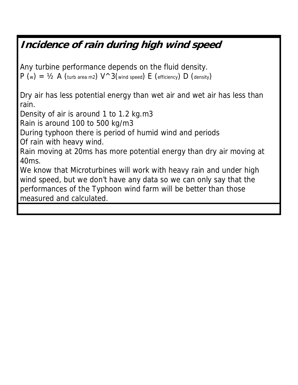# **Incidence of rain during high wind speed**

Any turbine performance depends on the fluid density.  $P (w) = V_2 A$  (turb area m2)  $V^{\wedge}3$ (wind speed) E (efficiency) D (density)

Dry air has less potential energy than wet air and wet air has less than rain.

Density of air is around 1 to 1.2 kg.m3

Rain is around 100 to 500 kg/m3

During typhoon there is period of humid wind and periods

Of rain with heavy wind.

Rain moving at 20ms has more potential energy than dry air moving at 40ms.

We know that Microturbines will work with heavy rain and under high wind speed, but we don't have any data so we can only say that the performances of the Typhoon wind farm will be better than those measured and calculated.